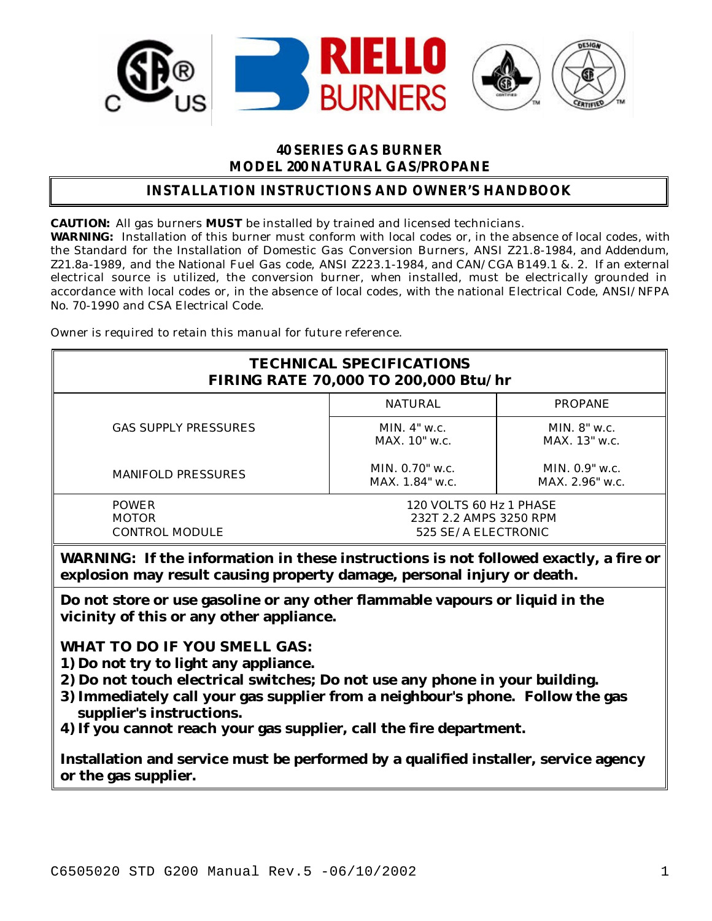

### **40 SERIES GAS BURNER MODEL 200 NATURAL GAS/PROPANE**

## **INSTALLATION INSTRUCTIONS AND OWNER'S HANDBOOK**

**CAUTION:** All gas burners **MUST** be installed by trained and licensed technicians.

**WARNING:** Installation of this burner must conform with local codes or, in the absence of local codes, with the Standard for the Installation of Domestic Gas Conversion Burners, ANSI Z21.8-1984, and Addendum, Z21.8a-1989, and the National Fuel Gas code, ANSI Z223.1-1984, and CAN/CGA B149.1 &. 2. If an external electrical source is utilized, the conversion burner, when installed, must be electrically grounded in accordance with local codes or, in the absence of local codes, with the national Electrical Code, ANSI/NFPA No. 70-1990 and CSA Electrical Code.

Owner is required to retain this manual for future reference.

| <b>TECHNICAL SPECIFICATIONS</b><br><b>FIRING RATE 70,000 TO 200,000 Btu/hr</b> |                                                                          |                                       |  |  |
|--------------------------------------------------------------------------------|--------------------------------------------------------------------------|---------------------------------------|--|--|
|                                                                                | <b>NATURAL</b>                                                           | <b>PROPANE</b>                        |  |  |
| <b>GAS SUPPLY PRESSURES</b>                                                    | MIN. $4"$ w.c.<br>$MAX$ 10" w.c.                                         | MIN. $8"$ w.c.<br>$MAX$ . 13" w.c.    |  |  |
| <b>MANIFOLD PRESSURES</b>                                                      | MIN. $0.70$ " w.c.<br>$MAX. 1.84"$ w.c.                                  | MIN. $0.9"$ w.c.<br>$MAX. 2.96"$ w.c. |  |  |
| <b>POWER</b><br><b>MOTOR</b><br><b>CONTROL MODULE</b>                          | 120 VOLTS 60 Hz 1 PHASE<br>232T 2.2 AMPS 3250 RPM<br>525 SE/A ELECTRONIC |                                       |  |  |

**WARNING: If the information in these instructions is not followed exactly, a fire or explosion may result causing property damage, personal injury or death.**

**Do not store or use gasoline or any other flammable vapours or liquid in the vicinity of this or any other appliance.**

**WHAT TO DO IF YOU SMELL GAS:**

- **1) Do not try to light any appliance.**
- **2) Do not touch electrical switches; Do not use any phone in your building.**
- **3) Immediately call your gas supplier from a neighbour's phone. Follow the gas supplier's instructions.**
- **4) If you cannot reach your gas supplier, call the fire department.**

**Installation and service must be performed by a qualified installer, service agency or the gas supplier.**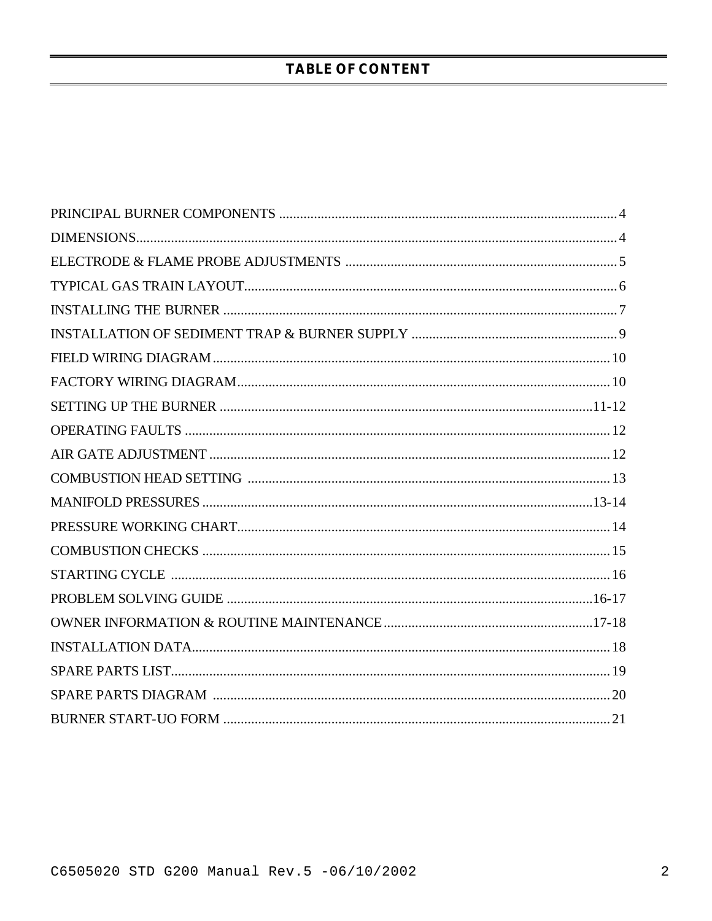# **TABLE OF CONTENT**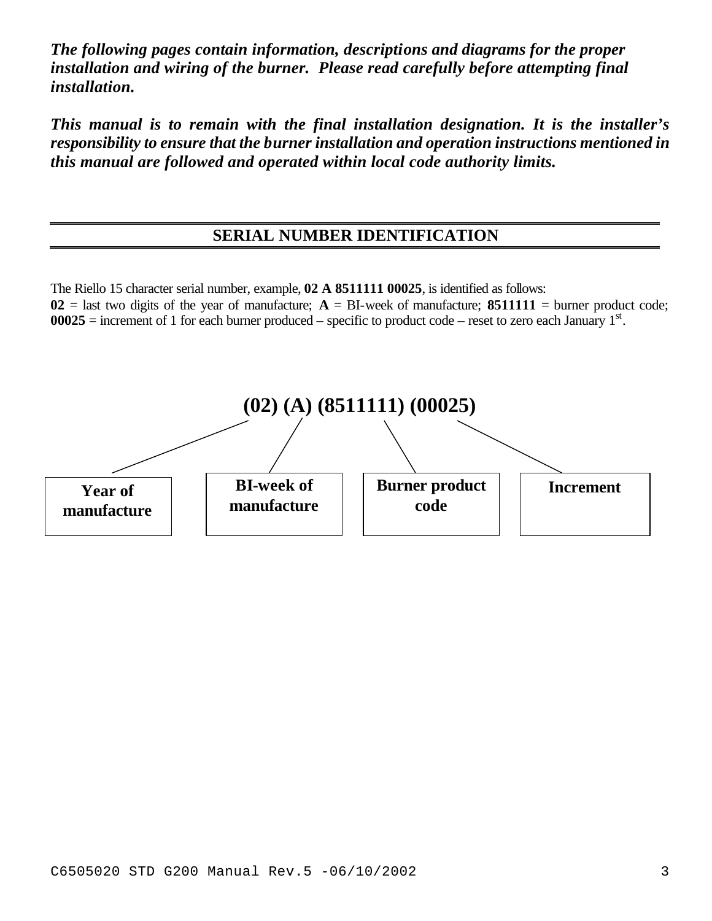*The following pages contain information, descriptions and diagrams for the proper installation and wiring of the burner. Please read carefully before attempting final installation.*

*This manual is to remain with the final installation designation. It is the installer's responsibility to ensure that the burner installation and operation instructions mentioned in this manual are followed and operated within local code authority limits.*

# **SERIAL NUMBER IDENTIFICATION**

The Riello 15 character serial number, example, **02 A 8511111 00025**, is identified as follows:  $02$  = last two digits of the year of manufacture;  $A = BI$ -week of manufacture; 8511111 = burner product code;  $00025$  = increment of 1 for each burner produced – specific to product code – reset to zero each January  $1<sup>st</sup>$ .

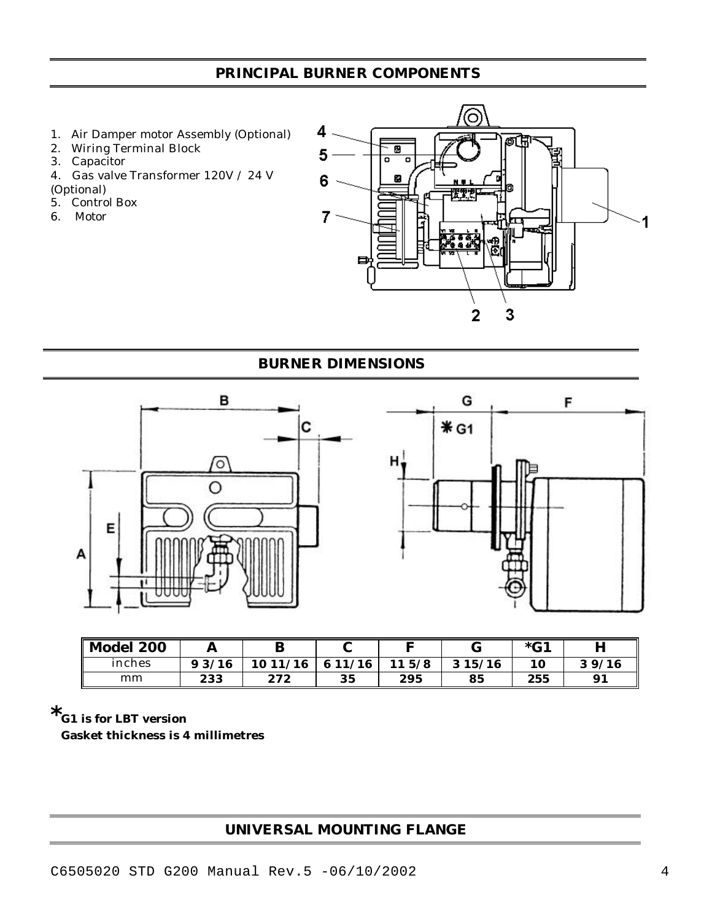# **PRINCIPAL BURNER COMPONENTS**

- 1. Air Damper motor Assembly (Optional)
- 2. Wiring Terminal Block
- 3. Capacitor
- 4. Gas valve Transformer 120V / 24 V
- (Optional)
- 5. Control Box
- 6. Motor



## **BURNER DIMENSIONS**



| Model 200 |       | В        |              | –         |        | $*$ $C1$ | н     |
|-----------|-------|----------|--------------|-----------|--------|----------|-------|
| inches    | 93/16 | 10 11/16 | /16<br>6 1 1 | 5/8<br>11 | 315/16 | 10       | 39/16 |
| mm        | 233   | 272      | 35           | 295       | 85     | 255      | 91    |

**\*G1 is for LBT version**

 **Gasket thickness is 4 millimetres**

# **UNIVERSAL MOUNTING FLANGE**

C6505020 STD G200 Manual Rev.5 -06/10/2002 4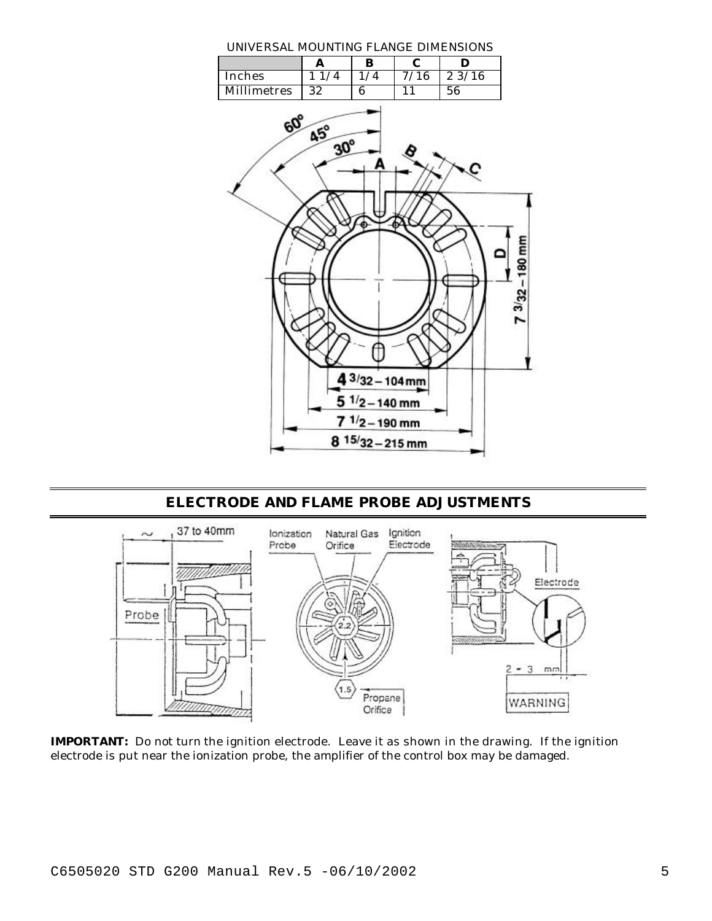UNIVERSAL MOUNTING FLANGE DIMENSIONS



**ELECTRODE AND FLAME PROBE ADJUSTMENTS**



**IMPORTANT:** Do not turn the ignition electrode. Leave it as shown in the drawing. If the ignition electrode is put near the ionization probe, the amplifier of the control box may be damaged.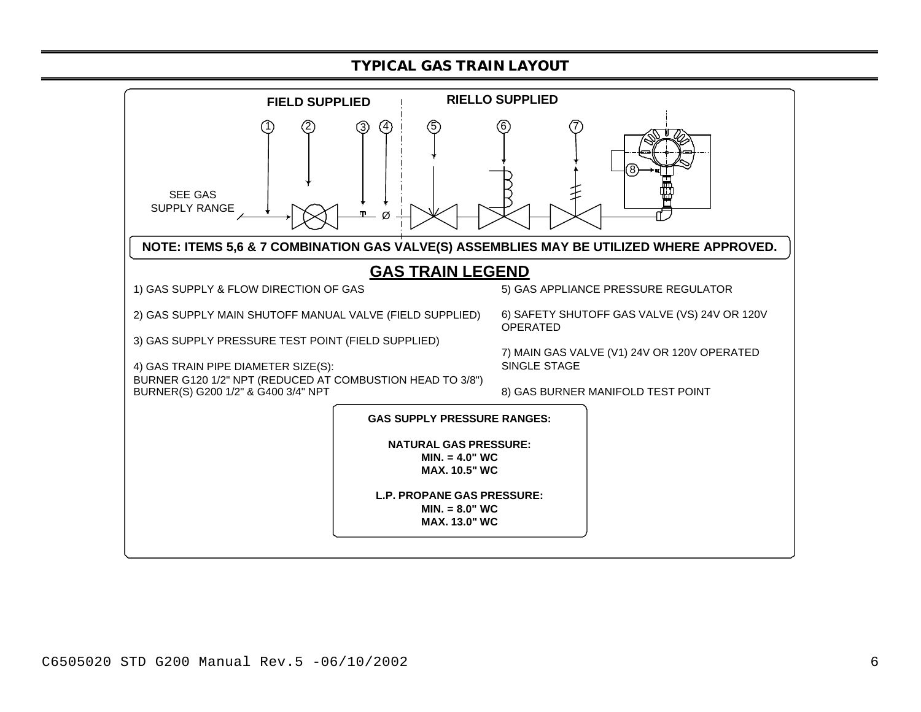### **TYPICAL GAS TRAIN LAYOUT**

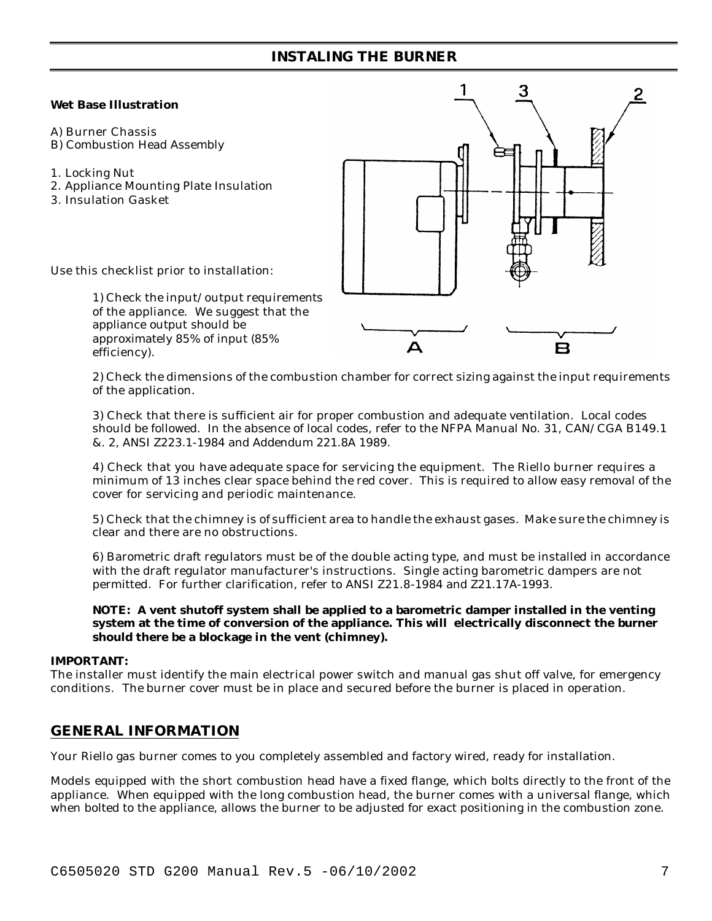## **INSTALING THE BURNER**

#### **Wet Base Illustration**

- A) Burner Chassis
- B) Combustion Head Assembly
- 1. Locking Nut
- 2. Appliance Mounting Plate Insulation
- 3. Insulation Gasket



Use this checklist prior to installation:

1) Check the input/output requirements of the appliance. We suggest that the appliance output should be approximately 85% of input (85% efficiency).

2) Check the dimensions of the combustion chamber for correct sizing against the input requirements of the application.

3) Check that there is sufficient air for proper combustion and adequate ventilation. Local codes should be followed. In the absence of local codes, refer to the NFPA Manual No. 31, CAN/CGA B149.1 &. 2, ANSI Z223.1-1984 and Addendum 221.8A 1989.

4) Check that you have adequate space for servicing the equipment. The Riello burner requires a minimum of 13 inches clear space behind the red cover. This is required to allow easy removal of the cover for servicing and periodic maintenance.

5) Check that the chimney is of sufficient area to handle the exhaust gases. Make sure the chimney is clear and there are no obstructions.

6) Barometric draft regulators must be of the double acting type, and must be installed in accordance with the draft regulator manufacturer's instructions. Single acting barometric dampers are not permitted. For further clarification, refer to ANSI Z21.8-1984 and Z21.17A-1993.

#### **NOTE: A vent shutoff system shall be applied to a barometric damper installed in the venting system at the time of conversion of the appliance. This will electrically disconnect the burner should there be a blockage in the vent (chimney).**

### **IMPORTANT:**

The installer must identify the main electrical power switch and manual gas shut off valve, for emergency conditions. The burner cover must be in place and secured before the burner is placed in operation.

# **GENERAL INFORMATION**

Your Riello gas burner comes to you completely assembled and factory wired, ready for installation.

Models equipped with the short combustion head have a fixed flange, which bolts directly to the front of the appliance. When equipped with the long combustion head, the burner comes with a universal flange, which when bolted to the appliance, allows the burner to be adjusted for exact positioning in the combustion zone.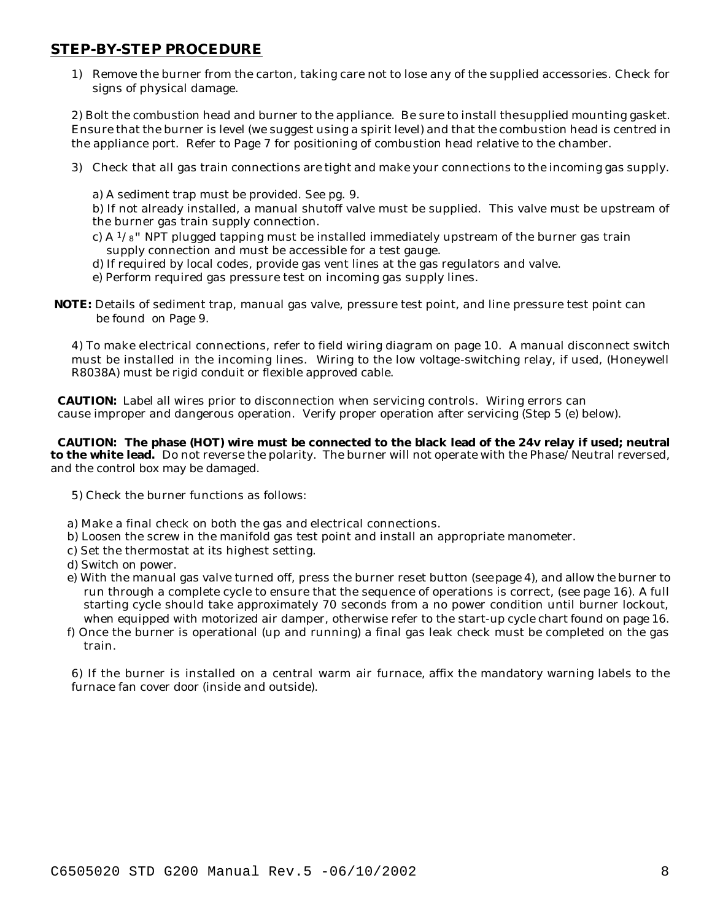### **STEP-BY-STEP PROCEDURE**

1) Remove the burner from the carton, taking care not to lose any of the supplied accessories. Check for signs of physical damage.

2) Bolt the combustion head and burner to the appliance. Be sure to install the supplied mounting gasket. Ensure that the burner is level (we suggest using a spirit level) and that the combustion head is centred in the appliance port. Refer to Page 7 for positioning of combustion head relative to the chamber.

- 3) Check that all gas train connections are tight and make your connections to the incoming gas supply.
	- a) A sediment trap must be provided. See pg. 9.

b) If not already installed, a manual shutoff valve must be supplied. This valve must be upstream of the burner gas train supply connection.

- c) A  $1/s$ " NPT plugged tapping must be installed immediately upstream of the burner gas train supply connection and must be accessible for a test gauge.
- d) If required by local codes, provide gas vent lines at the gas regulators and valve.
- e) Perform required gas pressure test on incoming gas supply lines.
- **NOTE:** Details of sediment trap, manual gas valve, pressure test point, and line pressure test point can be found on Page 9.

4) To make electrical connections, refer to field wiring diagram on page 10. A manual disconnect switch must be installed in the incoming lines. Wiring to the low voltage-switching relay, if used, (Honeywell R8038A) must be rigid conduit or flexible approved cable.

 **CAUTION:** Label all wires prior to disconnection when servicing controls. Wiring errors can cause improper and dangerous operation. Verify proper operation after servicing (Step 5 (e) below).

 **CAUTION: The phase (HOT) wire must be connected to the black lead of the 24v relay if used; neutral to the white lead.** Do not reverse the polarity. The burner will not operate with the Phase/Neutral reversed, and the control box may be damaged.

- 5) Check the burner functions as follows:
- a) Make a final check on both the gas and electrical connections.
- b) Loosen the screw in the manifold gas test point and install an appropriate manometer.
- c) Set the thermostat at its highest setting.
- d) Switch on power.
- e) With the manual gas valve turned off, press the burner reset button (see page 4), and allow the burner to run through a complete cycle to ensure that the sequence of operations is correct, (see page 16). A full starting cycle should take approximately 70 seconds from a no power condition until burner lockout, when equipped with motorized air damper, otherwise refer to the start-up cycle chart found on page 16.
- f) Once the burner is operational (up and running) a final gas leak check must be completed on the gas train.

6) If the burner is installed on a central warm air furnace, affix the mandatory warning labels to the furnace fan cover door (inside and outside).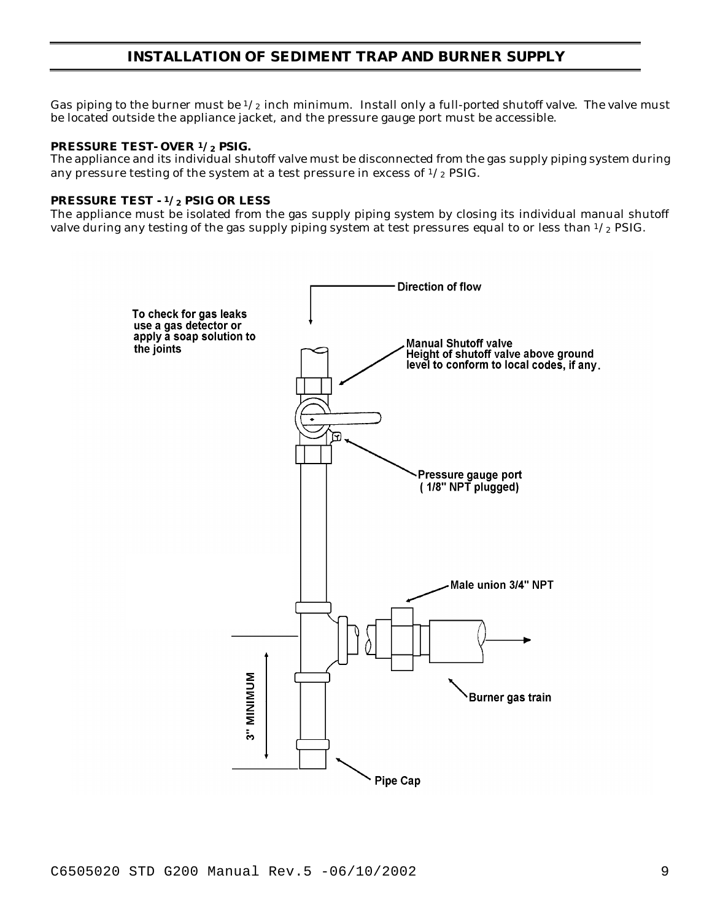## **INSTALLATION OF SEDIMENT TRAP AND BURNER SUPPLY**

Gas piping to the burner must be  $1/2$  inch minimum. Install only a full-ported shutoff valve. The valve must be located outside the appliance jacket, and the pressure gauge port must be accessible.

#### **PRESSURE TEST- OVER 1/2 PSIG.**

The appliance and its individual shutoff valve must be disconnected from the gas supply piping system during any pressure testing of the system at a test pressure in excess of  $\frac{1}{2}$  PSIG.

#### **PRESSURE TEST - <sup>1</sup>/2 PSIG OR LESS**

The appliance must be isolated from the gas supply piping system by closing its individual manual shutoff valve during any testing of the gas supply piping system at test pressures equal to or less than  $\frac{1}{2}$  PSIG.

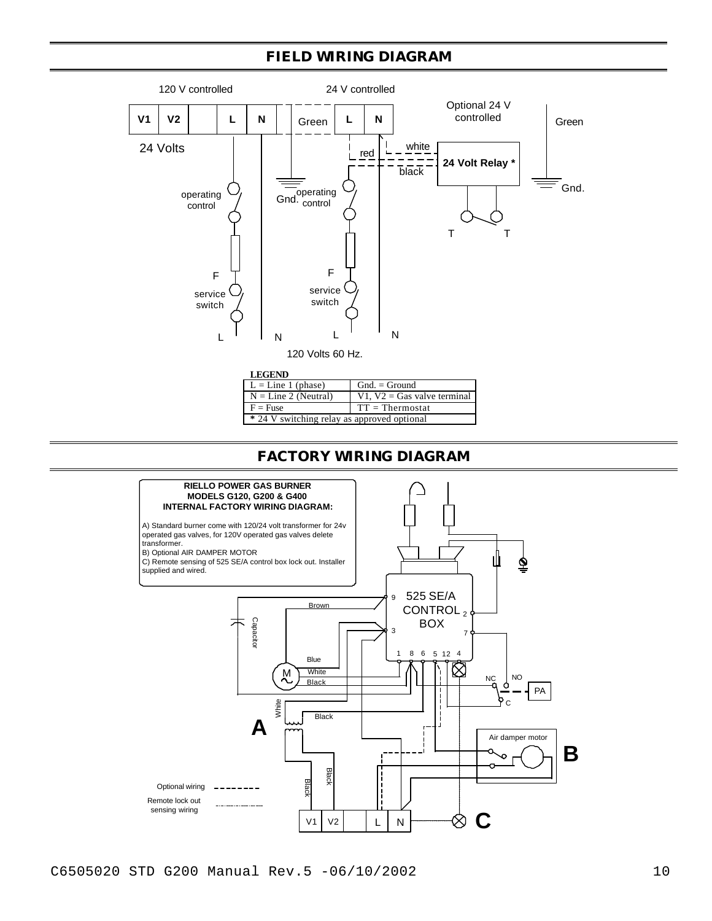## **FIELD WIRING DIAGRAM**



| <b>LEGEND</b>                               |                               |  |
|---------------------------------------------|-------------------------------|--|
| $L = Line 1 (phase)$                        | $Gnd. = Ground$               |  |
| $N = Line 2 (Neutral)$                      | V1, $V2 = Gas$ valve terminal |  |
| $F =$ Fuse                                  | $TT = Thermostat$             |  |
| * 24 V switching relay as approved optional |                               |  |

## **FACTORY WIRING DIAGRAM**



C6505020 STD G200 Manual Rev.5 -06/10/2002 10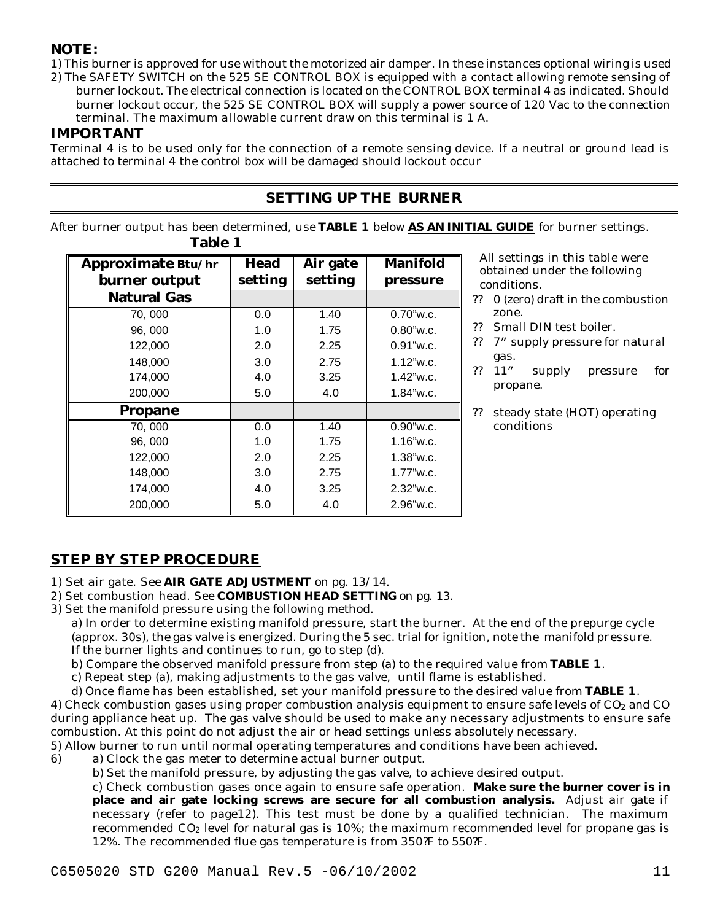## **NOTE:**

1) This burner is approved for use without the motorized air damper. In these instances optional wiring is used 2) The SAFETY SWITCH on the 525 SE CONTROL BOX is equipped with a contact allowing remote sensing of

burner lockout. The electrical connection is located on the CONTROL BOX terminal 4 as indicated. Should burner lockout occur, the 525 SE CONTROL BOX will supply a power source of 120 Vac to the connection terminal. The maximum allowable current draw on this terminal is 1 A.

## **IMPORTANT**

Terminal 4 is to be used only for the connection of a remote sensing device. If a neutral or ground lead is attached to terminal 4 the control box will be damaged should lockout occur

# **SETTING UP THE BURNER**

After burner output has been determined, use **TABLE 1** below **AS AN INITIAL GUIDE** for burner settings. **Table 1**

| Approximate Btu/hr | Head    | Air gate | <b>Manifold</b> |
|--------------------|---------|----------|-----------------|
| burner output      | setting | setting  | pressure        |
| <b>Natural Gas</b> |         |          |                 |
| 70, 000            | 0.0     | 1.40     | $0.70$ "w.c.    |
| 96,000             | 1.0     | 1.75     | $0.80$ "w.c.    |
| 122,000            | 2.0     | 2.25     | $0.91$ "w.c.    |
| 148,000            | 3.0     | 2.75     | $1.12$ "w.c.    |
| 174,000            | 4.0     | 3.25     | $1.42$ "w.c.    |
| 200,000            | 5.0     | 4.0      | $1.84$ "w.c.    |
| <b>Propane</b>     |         |          |                 |
| 70,000             | 0.0     | 1.40     | $0.90$ "w.c.    |
| 96,000             | 1.0     | 1.75     | $1.16$ "w.c.    |
| 122,000            | 2.0     | 2.25     | $1.38$ "w.c.    |
| 148,000            | 3.0     | 2.75     | $1.77$ "w.c.    |
| 174,000            | 4.0     | 3.25     | 2.32"w.c.       |
| 200,000            | 5.0     | 4.0      | $2.96$ "w.c.    |

 All settings in this table were obtained under the following conditions.

- ?? 0 (zero) draft in the combustion zone.
- ?? Small DIN test boiler.
- ?? 7" supply pressure for natural gas.
- ?? 11" supply pressure for propane.
- ?? steady state (HOT) operating conditions

# **STEP BY STEP PROCEDURE**

- 1) Set air gate. See **AIR GATE ADJUSTMENT** on pg. 13/14.
- 2) Set combustion head. See **COMBUSTION HEAD SETTING** on pg. 13.
- 3) Set the manifold pressure using the following method.

a) In order to determine existing manifold pressure, start the burner. At the end of the prepurge cycle (approx. 30s), the gas valve is energized. During the 5 sec. trial for ignition, note the manifold pressure. If the burner lights and continues to run, go to step (d).

- b) Compare the observed manifold pressure from step (a) to the required value from **TABLE 1**.
- c) Repeat step (a), making adjustments to the gas valve, until flame is established.
- d) Once flame has been established, set your manifold pressure to the desired value from **TABLE 1**.

4) Check combustion gases using proper combustion analysis equipment to ensure safe levels of  $CO<sub>2</sub>$  and CO during appliance heat up. The gas valve should be used to make any necessary adjustments to ensure safe combustion. At this point do not adjust the air or head settings unless absolutely necessary.

5) Allow burner to run until normal operating temperatures and conditions have been achieved.

- 6) a) Clock the gas meter to determine actual burner output.
	- b) Set the manifold pressure, by adjusting the gas valve, to achieve desired output.

c) Check combustion gases once again to ensure safe operation. **Make sure the burner cover is in place and air gate locking screws are secure for all combustion analysis.** Adjust air gate if necessary (refer to page12). This test must be done by a qualified technician. The maximum recommended  $CO<sub>2</sub>$  level for natural gas is 10%; the maximum recommended level for propane gas is 12%. The recommended flue gas temperature is from 350?F to 550?F.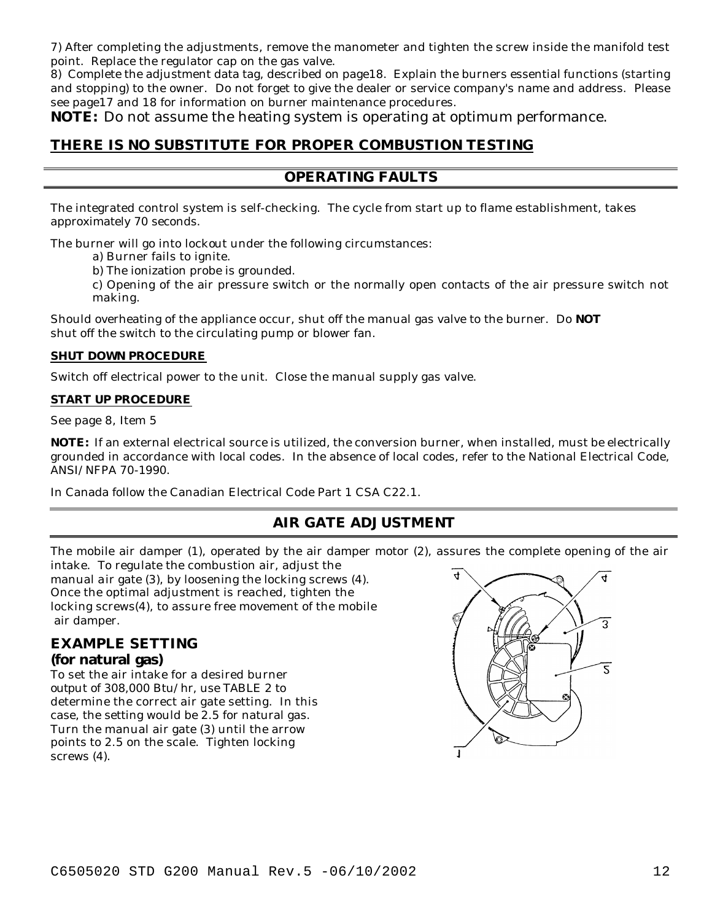7) After completing the adjustments, remove the manometer and tighten the screw inside the manifold test point. Replace the regulator cap on the gas valve.

8) Complete the adjustment data tag, described on page18. Explain the burners essential functions (starting and stopping) to the owner. Do not forget to give the dealer or service company's name and address. Please see page17 and 18 for information on burner maintenance procedures.

**NOTE:** Do not assume the heating system is operating at optimum performance.

## **THERE IS NO SUBSTITUTE FOR PROPER COMBUSTION TESTING**

## **OPERATING FAULTS**

The integrated control system is self-checking. The cycle from start up to flame establishment, takes approximately 70 seconds.

The burner will go into lockout under the following circumstances:

a) Burner fails to ignite.

b) The ionization probe is grounded.

c) Opening of the air pressure switch or the normally open contacts of the air pressure switch not making.

Should overheating of the appliance occur, shut off the manual gas valve to the burner. Do **NOT** shut off the switch to the circulating pump or blower fan.

#### **SHUT DOWN PROCEDURE**

Switch off electrical power to the unit. Close the manual supply gas valve.

#### **START UP PROCEDURE**

See page 8, Item 5

**NOTE:** If an external electrical source is utilized, the conversion burner, when installed, must be electrically grounded in accordance with local codes. In the absence of local codes, refer to the National Electrical Code, ANSI/NFPA 70-1990.

In Canada follow the Canadian Electrical Code Part 1 CSA C22.1.

## **AIR GATE ADJUSTMENT**

The mobile air damper (1), operated by the air damper motor (2), assures the complete opening of the air

intake. To regulate the combustion air, adjust the manual air gate (3), by loosening the locking screws (4). Once the optimal adjustment is reached, tighten the locking screws(4), to assure free movement of the mobile air damper.

### **EXAMPLE SETTING (for natural gas)**

To set the air intake for a desired burner output of 308,000 Btu/hr, use TABLE 2 to determine the correct air gate setting. In this case, the setting would be 2.5 for natural gas. Turn the manual air gate (3) until the arrow points to 2.5 on the scale. Tighten locking screws  $(4)$ .

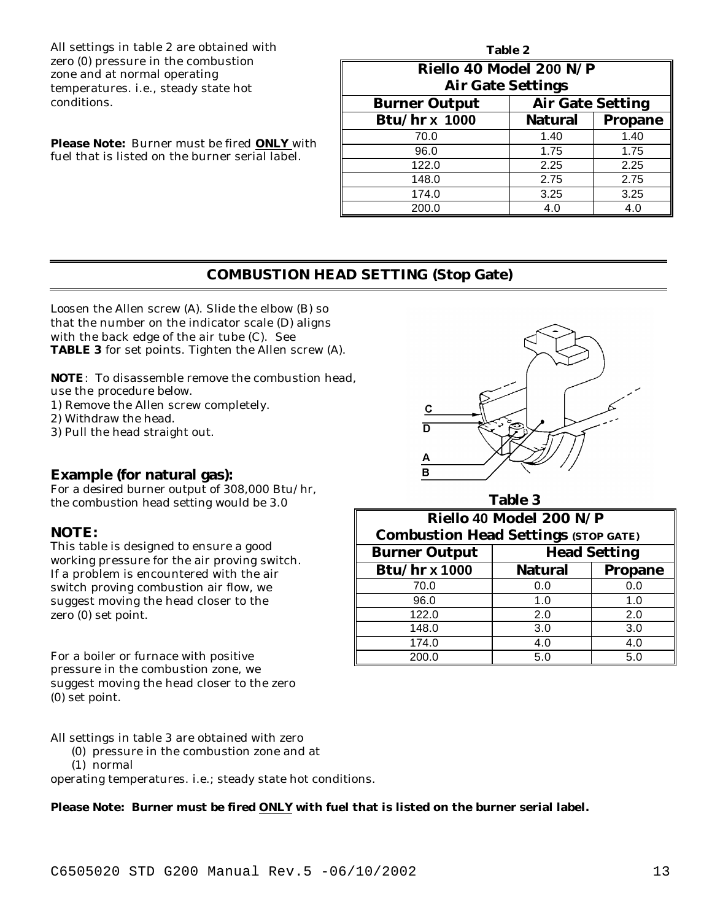All settings in table 2 are obtained with zero (0) pressure in the combustion zone and at normal operating temperatures. i.e., steady state hot conditions.

**Please Note:** Burner must be fired **ONLY** with fuel that is listed on the burner serial label.

| Table 2                                         |                |                |  |  |  |
|-------------------------------------------------|----------------|----------------|--|--|--|
| Riello 40 Model 200 N/P                         |                |                |  |  |  |
| <b>Air Gate Settings</b>                        |                |                |  |  |  |
| <b>Air Gate Setting</b><br><b>Burner Output</b> |                |                |  |  |  |
| <b>Btu/hr x 1000</b>                            | <b>Natural</b> | <b>Propane</b> |  |  |  |
| 70.0                                            | 1.40           | 1.40           |  |  |  |
| 96.0                                            | 1.75           | 1.75           |  |  |  |
| 122.0                                           | 2.25           | 2.25           |  |  |  |
| 148.0                                           | 2.75           | 2.75           |  |  |  |
| 174.0                                           | 3.25           | 3.25           |  |  |  |
| 200.0                                           | 4.0            | 4.0            |  |  |  |

### **COMBUSTION HEAD SETTING (Stop Gate)**

Loosen the Allen screw (A). Slide the elbow (B) so that the number on the indicator scale (D) aligns with the back edge of the air tube (C). See **TABLE 3** for set points. Tighten the Allen screw (A).

**NOTE**: To disassemble remove the combustion head, use the procedure below.

1) Remove the Allen screw completely.

2) Withdraw the head.

3) Pull the head straight out.

### **Example (for natural gas):**

For a desired burner output of 308,000 Btu/hr, the combustion head setting would be 3.0

### **NOTE:**

This table is designed to ensure a good working pressure for the air proving switch. If a problem is encountered with the air switch proving combustion air flow, we suggest moving the head closer to the zero (0) set point.

For a boiler or furnace with positive pressure in the combustion zone, we suggest moving the head closer to the zero (0) set point.

All settings in table 3 are obtained with zero

- (0) pressure in the combustion zone and at
- (1) normal

operating temperatures. i.e.; steady state hot conditions.

### **Please Note: Burner must be fired ONLY with fuel that is listed on the burner serial label.**

C ក <sub>R</sub> **Table 3 Riello 40 Model 200 N/P Combustion Head Settings (STOP GATE)**

| compassion neau settings (9101 GATL) |                     |                |  |  |
|--------------------------------------|---------------------|----------------|--|--|
| <b>Burner Output</b>                 | <b>Head Setting</b> |                |  |  |
| <b>Btu/hr x 1000</b>                 | <b>Natural</b>      | <b>Propane</b> |  |  |
| 70.0                                 | 0.0                 | 0.0            |  |  |
| 96.0                                 | 1.0                 | 1.0            |  |  |
| 122.0                                | 2.0                 | 2.0            |  |  |
| 148.0                                | 3.0                 | 3.0            |  |  |
| 174.0                                | 4.0                 | 4.0            |  |  |
| 200.0                                | 5.0                 | 5.0            |  |  |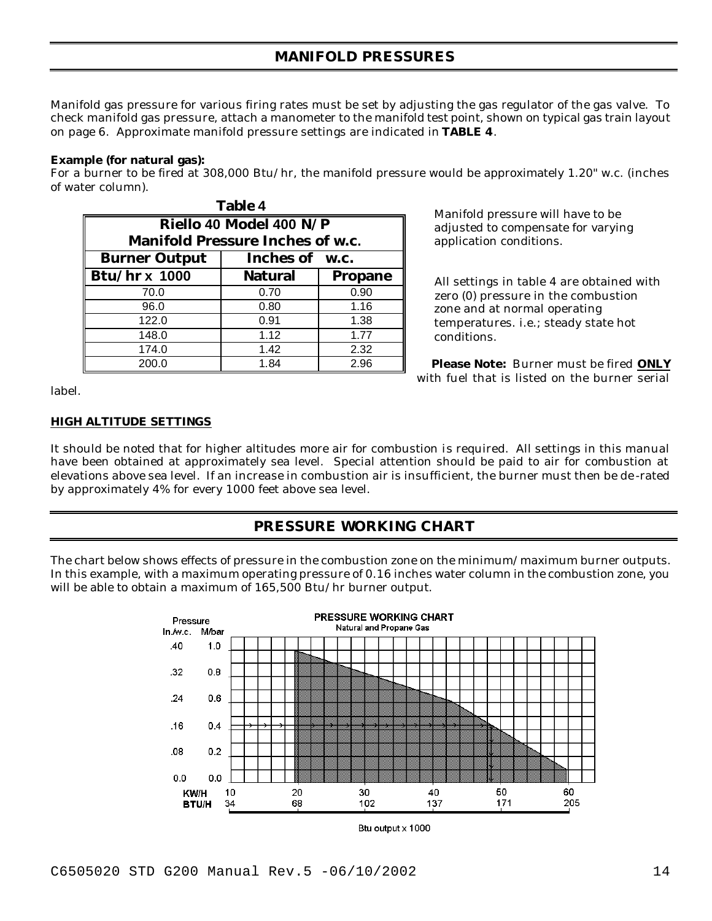Manifold gas pressure for various firing rates must be set by adjusting the gas regulator of the gas valve. To check manifold gas pressure, attach a manometer to the manifold test point, shown on typical gas train layout on page 6. Approximate manifold pressure settings are indicated in **TABLE 4**.

#### **Example (for natural gas):**

For a burner to be fired at 308,000 Btu/hr, the manifold pressure would be approximately 1.20" w.c. (inches of water column).

| <b>Table 4</b>                          |                         |                |  |  |
|-----------------------------------------|-------------------------|----------------|--|--|
|                                         | Riello 40 Model 400 N/P |                |  |  |
| <b>Manifold Pressure Inches of w.c.</b> |                         |                |  |  |
| Inches of w.c.<br><b>Burner Output</b>  |                         |                |  |  |
| <b>Btu/hr x 1000</b>                    | <b>Natural</b>          | <b>Propane</b> |  |  |
| 70.0                                    | 0.70                    | 0.90           |  |  |
| 96.0                                    | 0.80                    | 1.16           |  |  |
| 122.0                                   | 0.91                    | 1.38           |  |  |
| 148.0                                   | 1.12                    | 1.77           |  |  |
| 174.0                                   | 1.42                    | 2.32           |  |  |
| 200.0                                   | 1.84                    | 2.96           |  |  |

 Manifold pressure will have to be adjusted to compensate for varying application conditions.

 All settings in table 4 are obtained with zero (0) pressure in the combustion zone and at normal operating temperatures. i.e.; steady state hot conditions.

 **Please Note:** Burner must be fired **ONLY** with fuel that is listed on the burner serial

label.

### **HIGH ALTITUDE SETTINGS**

It should be noted that for higher altitudes more air for combustion is required. All settings in this manual have been obtained at approximately sea level. Special attention should be paid to air for combustion at elevations above sea level. If an increase in combustion air is insufficient, the burner must then be de -rated by approximately 4% for every 1000 feet above sea level.

## **PRESSURE WORKING CHART**

The chart below shows effects of pressure in the combustion zone on the minimum/maximum burner outputs. In this example, with a maximum operating pressure of 0.16 inches water column in the combustion zone, you will be able to obtain a maximum of 165,500 Btu/hr burner output.



Btu output x 1000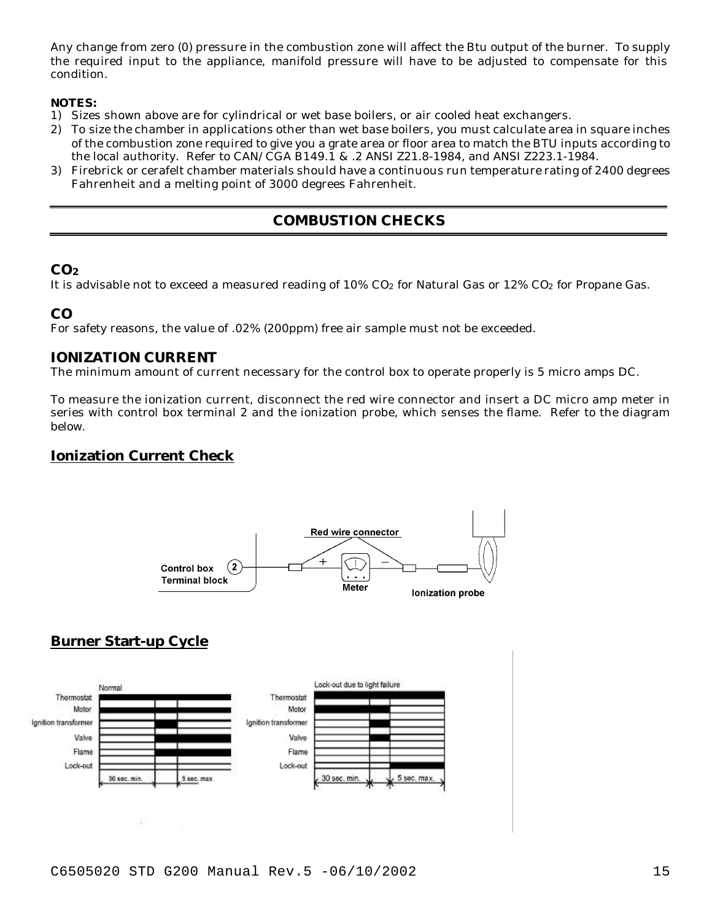Any change from zero (0) pressure in the combustion zone will affect the Btu output of the burner. To supply the required input to the appliance, manifold pressure will have to be adjusted to compensate for this condition.

#### **NOTES:**

- 1) Sizes shown above are for cylindrical or wet base boilers, or air cooled heat exchangers.
- 2) To size the chamber in applications other than wet base boilers, you must calculate area in square inches of the combustion zone required to give you a grate area or floor area to match the BTU inputs according to the local authority. Refer to CAN/CGA B149.1 & .2 ANSI Z21.8-1984, and ANSI Z223.1-1984.
- 3) Firebrick or cerafelt chamber materials should have a continuous run temperature rating of 2400 degrees Fahrenheit and a melting point of 3000 degrees Fahrenheit.

## **COMBUSTION CHECKS**

### **CO<sup>2</sup>**

It is advisable not to exceed a measured reading of  $10\%$  CO<sub>2</sub> for Natural Gas or  $12\%$  CO<sub>2</sub> for Propane Gas.

### **CO**

For safety reasons, the value of .02% (200ppm) free air sample must not be exceeded.

### **IONIZATION CURRENT**

The minimum amount of current necessary for the control box to operate properly is 5 micro amps DC.

To measure the ionization current, disconnect the red wire connector and insert a DC micro amp meter in series with control box terminal 2 and the ionization probe, which senses the flame. Refer to the diagram below.

## **Ionization Current Check**



## **Burner Start-up Cycle**

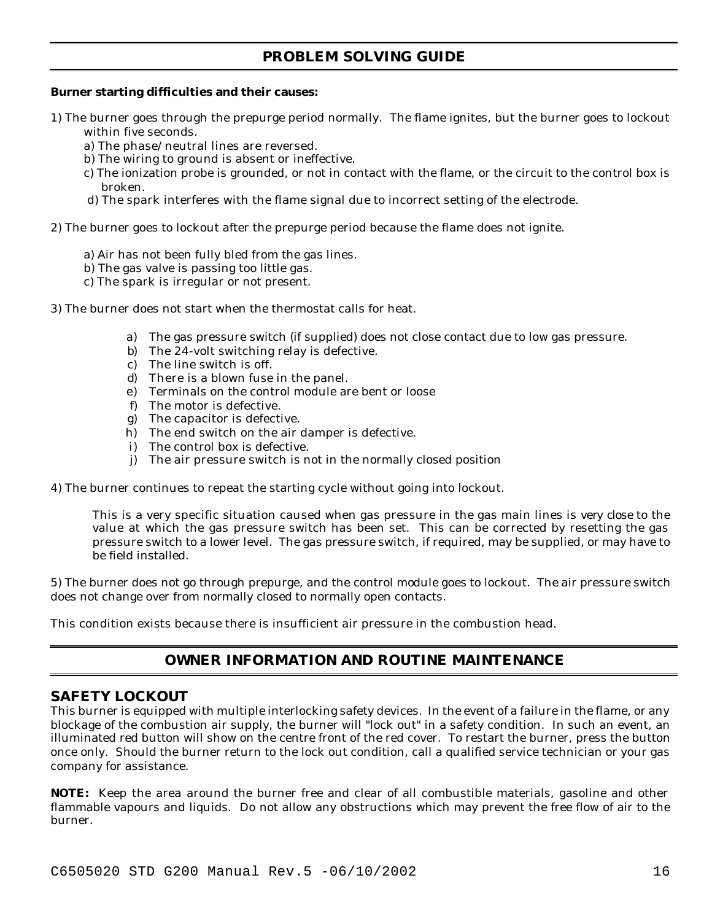## **PROBLEM SOLVING GUIDE**

#### **Burner starting difficulties and their causes:**

- 1) The burner goes through the prepurge period normally. The flame ignites, but the burner goes to lockout within five seconds.
	- a) The phase/neutral lines are reversed.
	- b) The wiring to ground is absent or ineffective.
	- c) The ionization probe is grounded, or not in contact with the flame, or the circuit to the control box is broken.
	- d) The spark interferes with the flame signal due to incorrect setting of the electrode.
- 2) The burner goes to lockout after the prepurge period because the flame does not ignite.
	- a) Air has not been fully bled from the gas lines.
	- b) The gas valve is passing too little gas.
	- c) The spark is irregular or not present.
- 3) The burner does not start when the thermostat calls for heat.
	- a) The gas pressure switch (if supplied) does not close contact due to low gas pressure.
	- b) The 24-volt switching relay is defective.
	- c) The line switch is off.
	- d) There is a blown fuse in the panel.
	- e) Terminals on the control module are bent or loose
	- f) The motor is defective.
	- g) The capacitor is defective.
	- h) The end switch on the air damper is defective.
	- i) The control box is defective.
	- j) The air pressure switch is not in the normally closed position
- 4) The burner continues to repeat the starting cycle without going into lockout.

This is a very specific situation caused when gas pressure in the gas main lines is *very close* to the value at which the gas pressure switch has been set. This can be corrected by resetting the gas pressure switch to a lower level. The gas pressure switch, if required, may be supplied, or may have to be field installed.

5) The burner does not go through prepurge, and the control module goes to lockout. The air pressure switch does not change over from normally closed to normally open contacts.

This condition exists because there is insufficient air pressure in the combustion head.

## **OWNER INFORMATION AND ROUTINE MAINTENANCE**

### **SAFETY LOCKOUT**

This burner is equipped with multiple interlocking safety devices. In the event of a failure in the flame, or any blockage of the combustion air supply, the burner will "lock out" in a safety condition. In such an event, an illuminated red button will show on the centre front of the red cover. To restart the burner, press the button once only. Should the burner return to the lock out condition, call a qualified service technician or your gas company for assistance.

**NOTE:** Keep the area around the burner free and clear of all combustible materials, gasoline and other flammable vapours and liquids. Do not allow any obstructions which may prevent the free flow of air to the burner.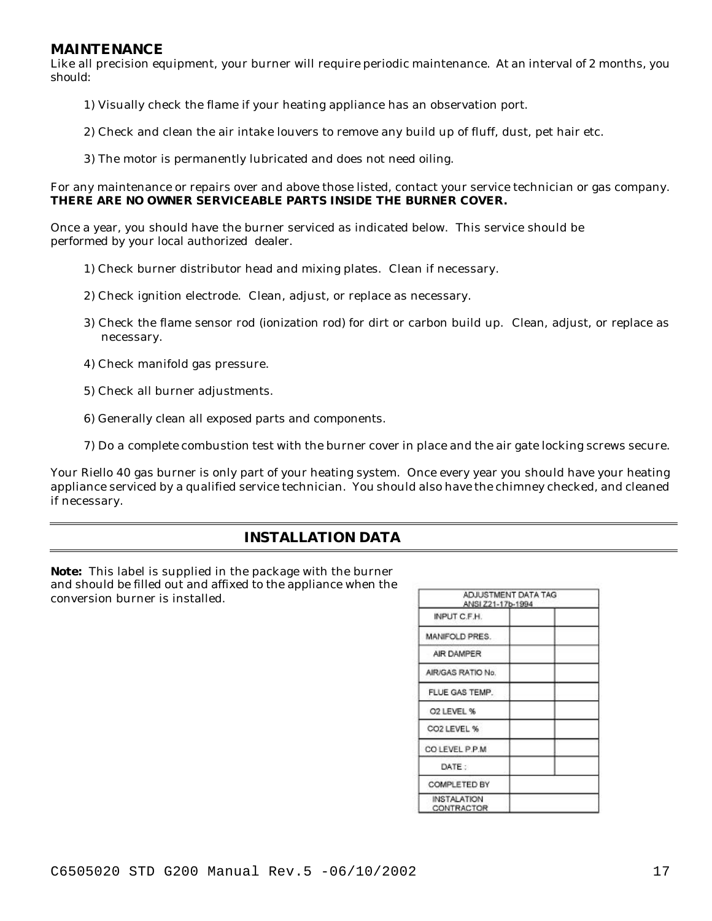#### **MAINTENANCE**

Like all precision equipment, your burner will require periodic maintenance. At an interval of 2 months, you should:

- 1) Visually check the flame if your heating appliance has an observation port.
- 2) Check and clean the air intake louvers to remove any build up of fluff, dust, pet hair etc.
- 3) The motor is permanently lubricated and does not need oiling.

For any maintenance or repairs over and above those listed, contact your service technician or gas company. **THERE ARE NO OWNER SERVICEABLE PARTS INSIDE THE BURNER COVER.**

Once a year, you should have the burner serviced as indicated below. This service should be performed by your local authorized dealer.

- 1) Check burner distributor head and mixing plates. Clean if necessary.
- 2) Check ignition electrode. Clean, adjust, or replace as necessary.
- 3) Check the flame sensor rod (ionization rod) for dirt or carbon build up. Clean, adjust, or replace as necessary.
- 4) Check manifold gas pressure.
- 5) Check all burner adjustments.
- 6) Generally clean all exposed parts and components.
- 7) Do a complete combustion test with the burner cover in place and the air gate locking screws secure.

Your Riello 40 gas burner is only part of your heating system. Once every year you should have your heating appliance serviced by a qualified service technician. You should also have the chimney checked, and cleaned if necessary.

## **INSTALLATION DATA**

**Note:** This label is supplied in the package with the burner and should be filled out and affixed to the appliance when the conversion burner is installed.

| ADJUSTMENT DATA TAG<br>ANSI Z21-17b-1994 |  |  |
|------------------------------------------|--|--|
| INPUT C.F.H.                             |  |  |
| MANIFOLD PRES.                           |  |  |
| AIR DAMPER                               |  |  |
| AIR/GAS RATIO No.                        |  |  |
| FLUE GAS TEMP.                           |  |  |
| O2 LEVEL %                               |  |  |
| CO2 LEVEL %                              |  |  |
| COLEVEL P.P.M.                           |  |  |
| DATE:                                    |  |  |
| COMPLETED BY                             |  |  |
| <b>INSTALATION</b><br>CONTRACTOR         |  |  |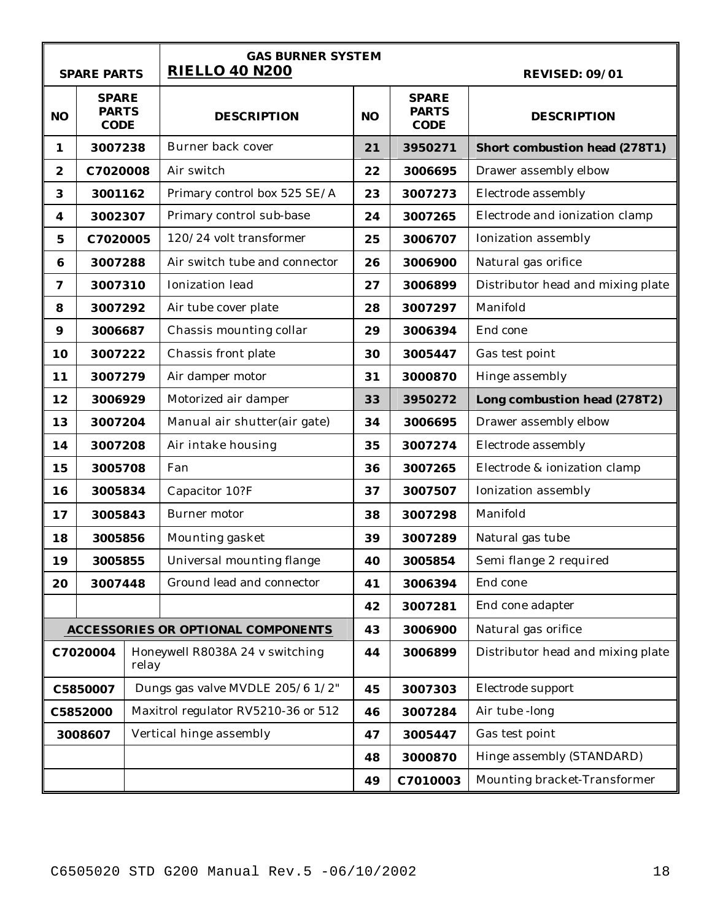|                  | <b>SPARE PARTS</b>                          |       | <b>GAS BURNER SYSTEM</b><br><b>RIELLO 40 N200</b> |    |                                             | <b>REVISED: 09/01</b>                |
|------------------|---------------------------------------------|-------|---------------------------------------------------|----|---------------------------------------------|--------------------------------------|
| N <sub>O</sub>   | <b>SPARE</b><br><b>PARTS</b><br><b>CODE</b> |       | <b>DESCRIPTION</b>                                | NO | <b>SPARE</b><br><b>PARTS</b><br><b>CODE</b> | <b>DESCRIPTION</b>                   |
| 1                | 3007238                                     |       | Burner back cover                                 | 21 | 3950271                                     | <b>Short combustion head (278T1)</b> |
| $\boldsymbol{2}$ | C7020008                                    |       | Air switch                                        | 22 | 3006695                                     | Drawer assembly elbow                |
| 3                | 3001162                                     |       | Primary control box 525 SE/A                      | 23 | 3007273                                     | Electrode assembly                   |
| 4                | 3002307                                     |       | Primary control sub-base                          | 24 | 3007265                                     | Electrode and ionization clamp       |
| $\mathbf 5$      | C7020005                                    |       | 120/24 volt transformer                           | 25 | 3006707                                     | Ionization assembly                  |
| $\bf{6}$         | 3007288                                     |       | Air switch tube and connector                     | 26 | 3006900                                     | Natural gas orifice                  |
| 7                | 3007310                                     |       | <b>Ionization</b> lead                            | 27 | 3006899                                     | Distributor head and mixing plate    |
| 8                | 3007292                                     |       | Air tube cover plate                              | 28 | 3007297                                     | Manifold                             |
| 9                | 3006687                                     |       | Chassis mounting collar                           | 29 | 3006394                                     | End cone                             |
| 10               | 3007222                                     |       | Chassis front plate                               | 30 | 3005447                                     | Gas test point                       |
| 11               | 3007279                                     |       | Air damper motor                                  | 31 | 3000870                                     | Hinge assembly                       |
| 12               | 3006929                                     |       | Motorized air damper                              | 33 | 3950272                                     | Long combustion head (278T2)         |
| 13               | 3007204                                     |       | Manual air shutter(air gate)                      | 34 | 3006695                                     | Drawer assembly elbow                |
| 14               | 3007208                                     |       | Air intake housing                                | 35 | 3007274                                     | Electrode assembly                   |
| 15               | 3005708                                     |       | Fan                                               | 36 | 3007265                                     | Electrode & ionization clamp         |
| 16               | 3005834                                     |       | Capacitor 10?F                                    | 37 | 3007507                                     | Ionization assembly                  |
| 17               | 3005843                                     |       | Burner motor                                      | 38 | 3007298                                     | Manifold                             |
| 18               | 3005856                                     |       | Mounting gasket                                   | 39 | 3007289                                     | Natural gas tube                     |
| 19               | 3005855                                     |       | Universal mounting flange                         | 40 | 3005854                                     | Semi flange 2 required               |
| 20               | 3007448                                     |       | Ground lead and connector                         | 41 | 3006394                                     | End cone                             |
|                  |                                             |       |                                                   | 42 | 3007281                                     | End cone adapter                     |
|                  |                                             |       | <b>ACCESSORIES OR OPTIONAL COMPONENTS</b>         | 43 | 3006900                                     | Natural gas orifice                  |
|                  | C7020004                                    | relay | Honeywell R8038A 24 v switching                   | 44 | 3006899                                     | Distributor head and mixing plate    |
|                  | C5850007                                    |       | Dungs gas valve MVDLE 205/6 1/2"                  | 45 | 3007303                                     | Electrode support                    |
|                  | C5852000                                    |       | Maxitrol regulator RV5210-36 or 512               | 46 | 3007284                                     | Air tube -long                       |
|                  | 3008607                                     |       | Vertical hinge assembly                           | 47 | 3005447                                     | Gas test point                       |
|                  |                                             |       |                                                   | 48 | 3000870                                     | Hinge assembly (STANDARD)            |
|                  |                                             |       |                                                   | 49 | C7010003                                    | Mounting bracket-Transformer         |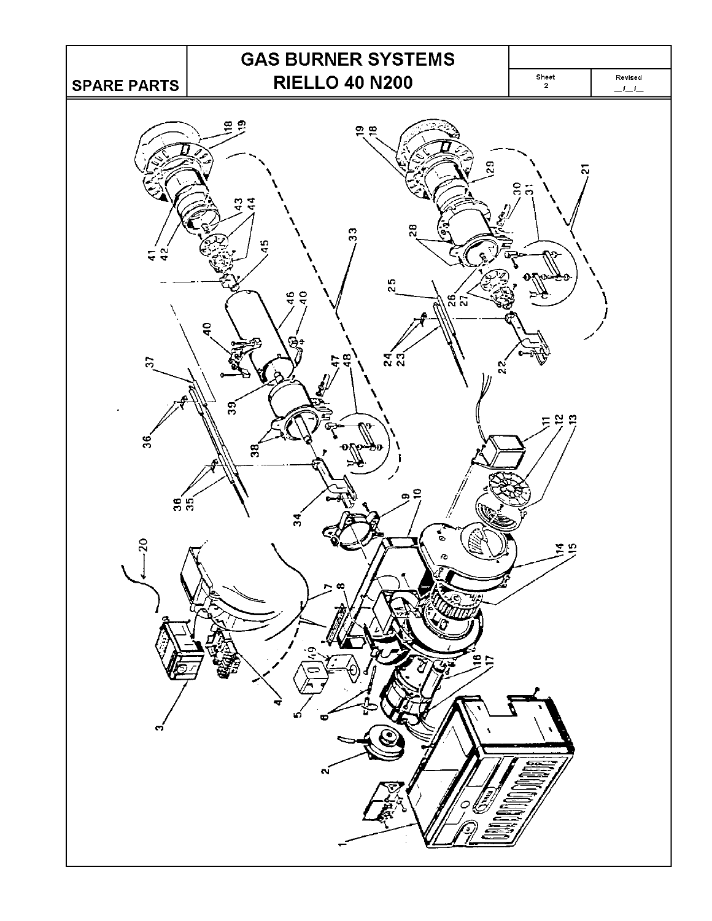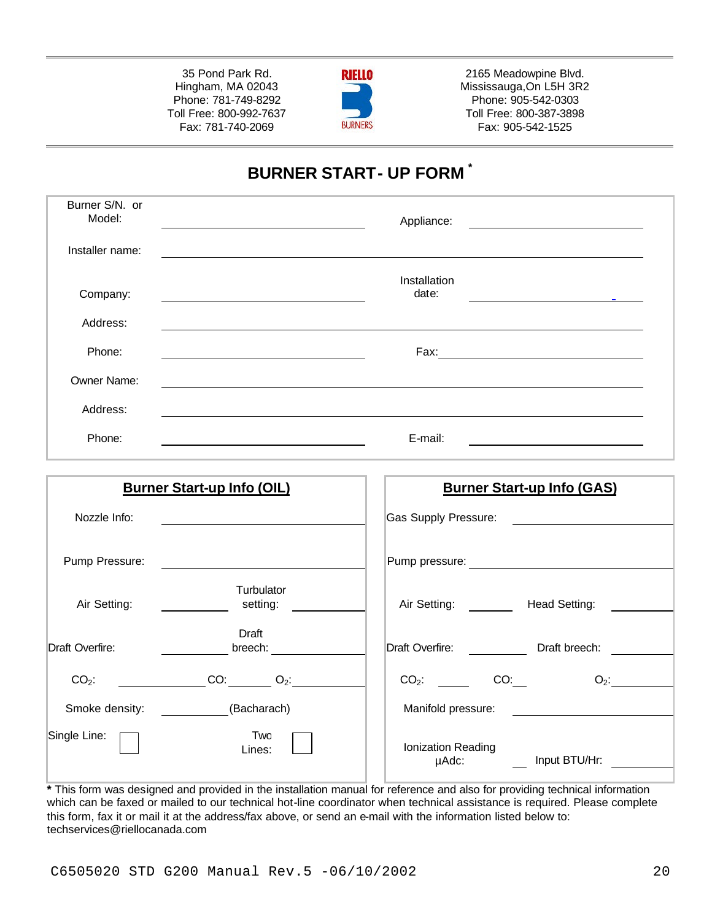35 Pond Park Rd. Hingham, MA 02043 Phone: 781-749-8292 Toll Free: 800-992-7637 Fax: 781-740-2069



2165 Meadowpine Blvd. Mississauga,On L5H 3R2 Phone: 905-542-0303 Toll Free: 800-387-3898 Fax: 905-542-1525

# **BURNER START- UP FORM \***

| Burner S/N. or<br>Model: | Appliance:                                        |
|--------------------------|---------------------------------------------------|
| Installer name:          |                                                   |
| Company:                 | Installation<br>date:<br><b>Contract Contract</b> |
| Address:                 |                                                   |
| Phone:                   | Fax:                                              |
| Owner Name:              |                                                   |
| Address:                 |                                                   |
| Phone:                   | E-mail:                                           |

| <b>Burner Start-up Info (OIL)</b>      | <b>Burner Start-up Info (GAS)</b>            |
|----------------------------------------|----------------------------------------------|
| Nozzle Info:                           | Gas Supply Pressure:                         |
| Pump Pressure:                         | Pump pressure:                               |
| Turbulator<br>Air Setting:<br>setting: | Air Setting:<br>Head Setting:                |
| Draft<br>Draft Overfire:<br>breech:    | Draft Overfire:<br>Draft breech:             |
| CO:<br>$CO2$ :<br>$O_2$ :              | $CO2$ :<br>CO:<br>$O_2$ :                    |
| Smoke density:<br>(Bacharach)          | Manifold pressure:                           |
| Single Line:<br>Two<br>Lines:          | Ionization Reading<br>Input BTU/Hr:<br>µAdc: |

**\*** This form was designed and provided in the installation manual for reference and also for providing technical information which can be faxed or mailed to our technical hot-line coordinator when technical assistance is required. Please complete this form, fax it or mail it at the address/fax above, or send an e-mail with the information listed below to: techservices@riellocanada.com